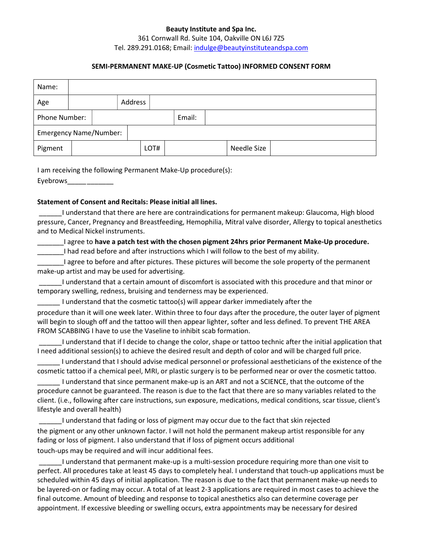#### Beauty Institute and Spa Inc.

#### 361 Cornwall Rd. Suite 104, Oakville ON L6J 7Z5 Tel. 289.291.0168; Email: indulge@beautyinstituteandspa.com

## SEMI-PERMANENT MAKE-UP (Cosmetic Tattoo) INFORMED CONSENT FORM

| Name:                         |  |  |  |         |        |  |  |             |  |
|-------------------------------|--|--|--|---------|--------|--|--|-------------|--|
| Age                           |  |  |  | Address |        |  |  |             |  |
| Phone Number:                 |  |  |  |         | Email: |  |  |             |  |
| <b>Emergency Name/Number:</b> |  |  |  |         |        |  |  |             |  |
| Pigment                       |  |  |  | LOT#    |        |  |  | Needle Size |  |

I am receiving the following Permanent Make-Up procedure(s):

Eyebrows\_\_\_\_\_ \_\_\_\_\_\_\_

#### Statement of Consent and Recitals: Please initial all lines.

 \_\_\_\_\_\_ I understand that there are here are contraindications for permanent makeup: Glaucoma, High blood pressure, Cancer, Pregnancy and Breastfeeding, Hemophilia, Mitral valve disorder, Allergy to topical anesthetics and to Medical Nickel instruments.

Lagree to have a patch test with the chosen pigment 24hrs prior Permanent Make-Up procedure. \_\_\_\_\_\_\_I had read before and after instructions which I will follow to the best of my ability.

\_\_\_\_\_\_\_I agree to before and after pictures. These pictures will become the sole property of the permanent make-up artist and may be used for advertising.

 \_\_\_\_\_\_ I understand that a certain amount of discomfort is associated with this procedure and that minor or temporary swelling, redness, bruising and tenderness may be experienced.

\_\_\_\_\_\_ I understand that the cosmetic tattoo(s) will appear darker immediately after the

procedure than it will one week later. Within three to four days after the procedure, the outer layer of pigment will begin to slough off and the tattoo will then appear lighter, softer and less defined. To prevent THE AREA FROM SCABBING I have to use the Vaseline to inhibit scab formation.

 \_\_\_\_\_\_ I understand that if l decide to change the color, shape or tattoo technic after the initial application that I need additional session(s) to achieve the desired result and depth of color and will be charged full price.

\_\_\_\_\_\_ I understand that I should advise medical personnel or professional aestheticians of the existence of the cosmetic tattoo if a chemical peel, MRI, or plastic surgery is to be performed near or over the cosmetic tattoo.

\_\_\_\_\_\_ I understand that since permanent make-up is an ART and not a SCIENCE, that the outcome of the procedure cannot be guaranteed. The reason is due to the fact that there are so many variables related to the client. (i.e., following after care instructions, sun exposure, medications, medical conditions, scar tissue, client's lifestyle and overall health)

 \_\_\_\_\_\_ I understand that fading or loss of pigment may occur due to the fact that skin rejected the pigment or any other unknown factor. I will not hold the permanent makeup artist responsible for any fading or loss of pigment. I also understand that if loss of pigment occurs additional touch-ups may be required and will incur additional fees.

 \_\_\_\_\_\_ I understand that permanent make-up is a multi-session procedure requiring more than one visit to perfect. All procedures take at least 45 days to completely heal. I understand that touch-up applications must be scheduled within 45 days of initial application. The reason is due to the fact that permanent make-up needs to be layered-on or fading may occur. A total of at least 2-3 applications are required in most cases to achieve the final outcome. Amount of bleeding and response to topical anesthetics also can determine coverage per appointment. If excessive bleeding or swelling occurs, extra appointments may be necessary for desired